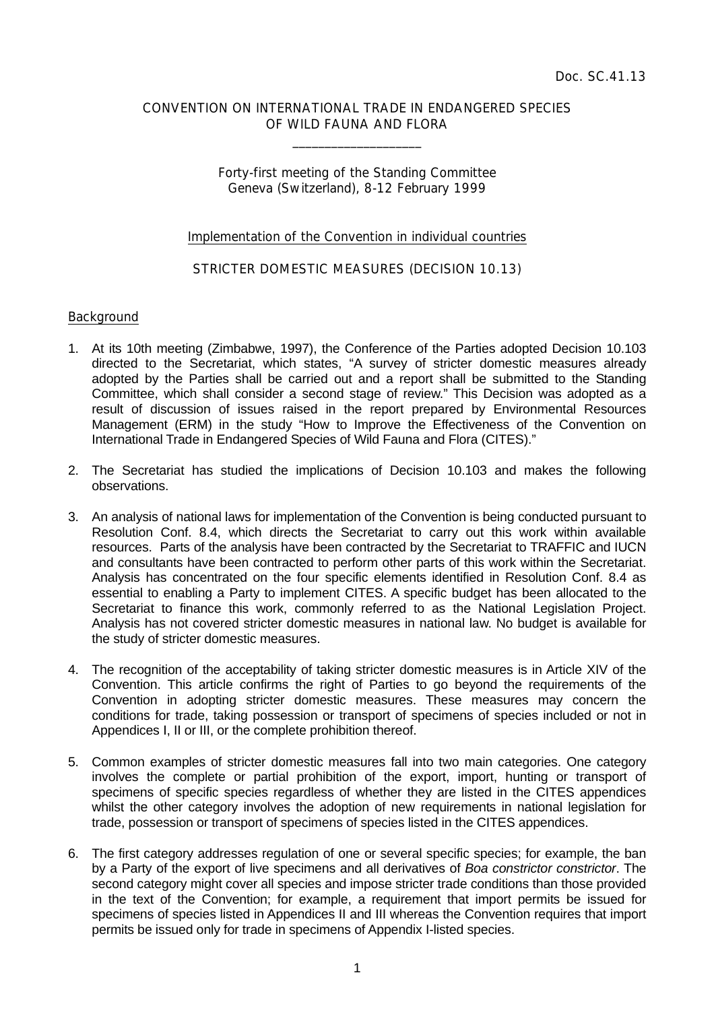## CONVENTION ON INTERNATIONAL TRADE IN ENDANGERED SPECIES OF WILD FAUNA AND FLORA

 $\overline{\phantom{a}}$  , which is a set of the set of the set of the set of the set of the set of the set of the set of the set of the set of the set of the set of the set of the set of the set of the set of the set of the set of th

# Forty-first meeting of the Standing Committee Geneva (Switzerland), 8-12 February 1999

### Implementation of the Convention in individual countries

## STRICTER DOMESTIC MEASURES (DECISION 10.13)

#### Background

- 1. At its 10th meeting (Zimbabwe, 1997), the Conference of the Parties adopted Decision 10.103 directed to the Secretariat, which states, "A survey of stricter domestic measures already adopted by the Parties shall be carried out and a report shall be submitted to the Standing Committee, which shall consider a second stage of review." This Decision was adopted as a result of discussion of issues raised in the report prepared by Environmental Resources Management (ERM) in the study "How to Improve the Effectiveness of the Convention on International Trade in Endangered Species of Wild Fauna and Flora (CITES)."
- 2. The Secretariat has studied the implications of Decision 10.103 and makes the following observations.
- 3. An analysis of national laws for implementation of the Convention is being conducted pursuant to Resolution Conf. 8.4, which directs the Secretariat to carry out this work within available resources. Parts of the analysis have been contracted by the Secretariat to TRAFFIC and IUCN and consultants have been contracted to perform other parts of this work within the Secretariat. Analysis has concentrated on the four specific elements identified in Resolution Conf. 8.4 as essential to enabling a Party to implement CITES. A specific budget has been allocated to the Secretariat to finance this work, commonly referred to as the National Legislation Project. Analysis has not covered stricter domestic measures in national law. No budget is available for the study of stricter domestic measures.
- 4. The recognition of the acceptability of taking stricter domestic measures is in Article XIV of the Convention. This article confirms the right of Parties to go beyond the requirements of the Convention in adopting stricter domestic measures. These measures may concern the conditions for trade, taking possession or transport of specimens of species included or not in Appendices I, II or III, or the complete prohibition thereof.
- 5. Common examples of stricter domestic measures fall into two main categories. One category involves the complete or partial prohibition of the export, import, hunting or transport of specimens of specific species regardless of whether they are listed in the CITES appendices whilst the other category involves the adoption of new requirements in national legislation for trade, possession or transport of specimens of species listed in the CITES appendices.
- 6. The first category addresses regulation of one or several specific species; for example, the ban by a Party of the export of live specimens and all derivatives of *Boa constrictor constrictor*. The second category might cover all species and impose stricter trade conditions than those provided in the text of the Convention; for example, a requirement that import permits be issued for specimens of species listed in Appendices II and III whereas the Convention requires that import permits be issued only for trade in specimens of Appendix I-listed species.